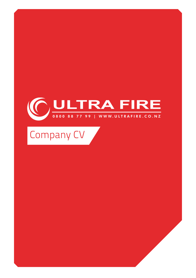## OULTRA FIRE K

Company CV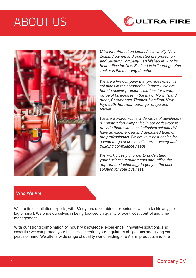# ABOUT US





Ultra Fire Protection Limited is a wholly New Zealand owned and operated fire protection and Security Company. Established in 2012 its head office for New Zealand is in Tauranga. Kris Tocker is the founding director

We are a fire company that provides effective solutions in the commerical industry. We are here to deliver premium solutions for a wide range of businesses in the major North Island areas, Coromandel, Thames, Hamilton, New Plymouth, Rotorua, Tauranga, Taupo and Napier.

We are working with a wide range of developers & construction companies in our endeavour to provide them with a cost effective solution. We have an experienced and dedicated team of fire professionals. We are your best choice for a wide range of fire installation, servicing and building compliance needs.

We work closely in order to understand your business requirements and utilise the appropriate technology to get you the best solution for your business.

#### Who We Are

We are fire installation experts, with 80+ years of combined experience we can tackle any job big or small. We pride ourselves in being focused on quality of work, cost control and time management.

With our strong combination of industry knowledge, experience, innovative solutions, and expertise we can protect your business, meeting your regulatory obligations and giving you peace of mind. We offer a wide range of quality world leading Fire Alarm products and Fire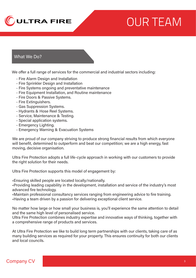

# OUR TEAM

#### What We Do?

We offer a full range of services for the commercial and industrial sectors including:

- Fire Alarm Design and Installation
- Fire Sprinkler Design and Installation
- Fire Systems ongoing and preventative maintenance
- Fire Equipment Installation, and Routine maintenance
- Fire Doors & Passive Systems.
- Fire Extinguishers.
- Gas Suppression Systems.
- Hydrants & Hose Reel Systems.
- Service, Maintenance & Testing.
- Special application systems.
- Emergency Lighting.
- Emergency Warning & Evacuation Systems

We are proud of our company striving to produce strong financial results from which everyone will benefit, determined to outperform and beat our competition; we are a high energy, fast moving, decisive organisation.

Ultra Fire Protection adopts a full life-cycle approach in working with our customers to provide the right solution for their needs.

Ultra Fire Protection supports this model of engagement by:

•Ensuring skilled people are located locally/nationally.

•Providing leading capability in the development, installation and service of the industry's most advanced fire technology.

•Maintain professional consultancy services ranging from engineering advice to fire training.

•Having a team driven by a passion for delivering exceptional client service.

No matter how large or how small your business is, you'll experience the same attention to detail and the same high level of personalised service.

Ultra Fire Protection combines industry expertise and innovative ways of thinking, together with a comprehensive range of products and services.

At Ultra Fire Protection we like to build long term partnerships with our clients, taking care of as many building services as required for your property. This ensures continuity for both our clients and local councils.

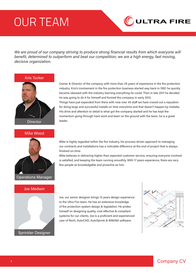# OUR TEAM



We are proud of our company striving to produce strong financial results from which everyone will benefit, determined to outperform and beat our competition; we are a high energy, fast moving, decisive organization.

Kris Tocker



#### Mike Wood



#### Joe Medwin



Owner & Director of the company with more than 25 years of experience in the fire protection industry. Kris's involvement in the fire protection business started way back in 1997, he quickly became obessed with the industry learning everything he could. Then in late 2011 he decided he was going to do it for himself and formed the company in early 2012. Things have just expanded from there with now over 45 staff we have craved out a repuation for doing large and successful installs on time everytime and that doesn't happen by mistake. His drive and attention to detail is what got the company started and he has kept the momentum going through hard work and been on the ground with the team, he is a great leader.

Mike is highly regarded within the fire industry, his process-driven approach to managing our contracts and installations has a noticable difference at the end of project that is always finished on-time.

Mike believes in delivering higher than expected customer service, ensuring everyone involved is satisfied, and keeping the team running smoothly. With 17 years experience, there are very few people as knowledgable and proactive as him.

Joe, our senior designer brings 13 years design experience to the Ultra Fire team. He has an extensive knowledge of fire protection system design & legislation. He prides himself on designing quality, cost effective & compliant systems for our clients. Joe is a proficient and experienced user of Revit, AutoCAD, AutoSprink & BIM360 software.

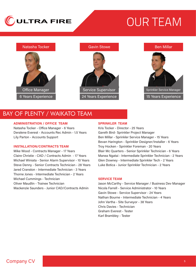

# OUR TEAM

# Natasha Tocker Office Manager 6 Years Experience 24 Years Experience 24 Years Experience 24 Years Experience

#### Gavin Stowe



#### Ben Millar



### BAY OF PLENTY / WAIKATO TEAM

#### ADMINISTRATION / OFFICE TEAM

Natasha Tocker - Office Manager - 6 Years Deralene Everest - Accounts Rec Admin - 1.5 Years Lily Parton - Accounts Support

#### INSTALLATION/CONTRACTS TEAM

Mike Wood - Contracts Manager - 17 Years Claire Christie - CAD / Contracts Admin - 17 Years Michael Winiata - Senior Alarm Supervisor - 10 Years Steve Denny - Senior Contracts Technician - 28 Years Jared Cranston - Intermediate Technician - 3 Years Thorne Jones - Intermediate Technician - 2 Years Michael Cummings - Technician Oliver Maudlin - Trainee Technician Mackenzie Saunders - Junior CAD/Contracts Admin

#### SPRINKLER TEAM

Kris Tocker - Director - 25 Years Gareth Bird- Sprinkler Project Manager Ben Millar - Sprinkler Service Manager - 15 Years Bevan Harington - Sprinkler Designer/Installer - 6 Years Troy Hocken - Sprinkler Foreman - 20 Years Blair Mc Quarters - Senior Sprinkler Technician - 6 Years Manea Ngatai - Intermediate Sprinkler Technician - 2 Years Glen Downey - Intermediate Sprinkler Tech - 2 Years Luke Botica - Junior Sprinkler Technician - 2 Years

#### SERVICE TEAM

Jason McCarthy - Service Manager / Business Dev Manager Nicola Farrell - Service Administrator - 10 Years Gavin Stowe - Service Supervisor - 24 Years Nathan Bourne - Intermediate Technician - 4 Years John Vartha - Site Surveyor - 38 Years Chris Davies - Technician Graham Everest - Tester Karl Brambley - Tester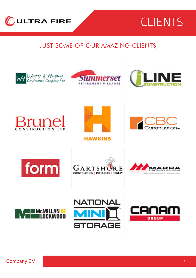

# CLIENTS

## JUST SOME OF OUR AMAZING CLIENTS,







## ri 11 **RUCTION**















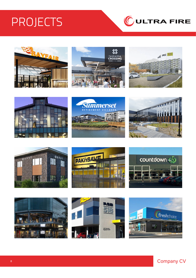# **PROJECTS**